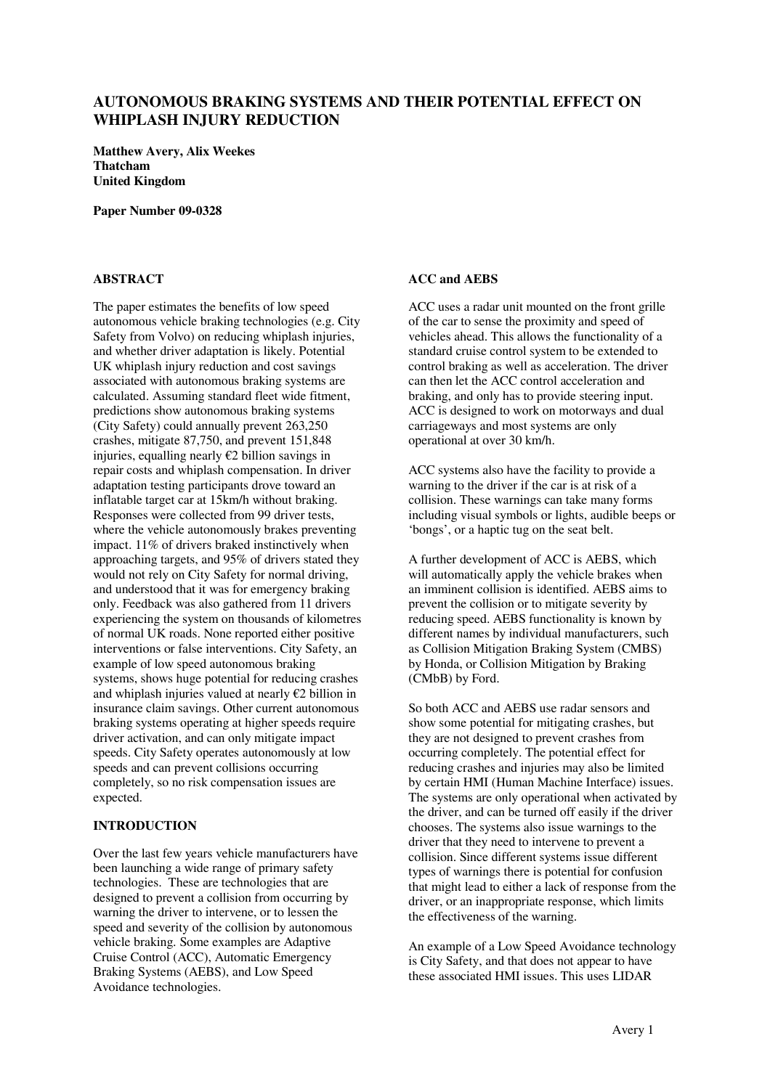# **AUTONOMOUS BRAKING SYSTEMS AND THEIR POTENTIAL EFFECT ON WHIPLASH INJURY REDUCTION**

**Matthew Avery, Alix Weekes Thatcham United Kingdom** 

**Paper Number 09-0328** 

## **ABSTRACT**

The paper estimates the benefits of low speed autonomous vehicle braking technologies (e.g. City Safety from Volvo) on reducing whiplash injuries, and whether driver adaptation is likely. Potential UK whiplash injury reduction and cost savings associated with autonomous braking systems are calculated. Assuming standard fleet wide fitment, predictions show autonomous braking systems (City Safety) could annually prevent 263,250 crashes, mitigate 87,750, and prevent 151,848 injuries, equalling nearly €2 billion savings in repair costs and whiplash compensation. In driver adaptation testing participants drove toward an inflatable target car at 15km/h without braking. Responses were collected from 99 driver tests, where the vehicle autonomously brakes preventing impact. 11% of drivers braked instinctively when approaching targets, and 95% of drivers stated they would not rely on City Safety for normal driving, and understood that it was for emergency braking only. Feedback was also gathered from 11 drivers experiencing the system on thousands of kilometres of normal UK roads. None reported either positive interventions or false interventions. City Safety, an example of low speed autonomous braking systems, shows huge potential for reducing crashes and whiplash injuries valued at nearly  $E2$  billion in insurance claim savings. Other current autonomous braking systems operating at higher speeds require driver activation, and can only mitigate impact speeds. City Safety operates autonomously at low speeds and can prevent collisions occurring completely, so no risk compensation issues are expected.

#### **INTRODUCTION**

Over the last few years vehicle manufacturers have been launching a wide range of primary safety technologies. These are technologies that are designed to prevent a collision from occurring by warning the driver to intervene, or to lessen the speed and severity of the collision by autonomous vehicle braking. Some examples are Adaptive Cruise Control (ACC), Automatic Emergency Braking Systems (AEBS), and Low Speed Avoidance technologies.

#### **ACC and AEBS**

ACC uses a radar unit mounted on the front grille of the car to sense the proximity and speed of vehicles ahead. This allows the functionality of a standard cruise control system to be extended to control braking as well as acceleration. The driver can then let the ACC control acceleration and braking, and only has to provide steering input. ACC is designed to work on motorways and dual carriageways and most systems are only operational at over 30 km/h.

ACC systems also have the facility to provide a warning to the driver if the car is at risk of a collision. These warnings can take many forms including visual symbols or lights, audible beeps or 'bongs', or a haptic tug on the seat belt.

A further development of ACC is AEBS, which will automatically apply the vehicle brakes when an imminent collision is identified. AEBS aims to prevent the collision or to mitigate severity by reducing speed. AEBS functionality is known by different names by individual manufacturers, such as Collision Mitigation Braking System (CMBS) by Honda, or Collision Mitigation by Braking (CMbB) by Ford.

So both ACC and AEBS use radar sensors and show some potential for mitigating crashes, but they are not designed to prevent crashes from occurring completely. The potential effect for reducing crashes and injuries may also be limited by certain HMI (Human Machine Interface) issues. The systems are only operational when activated by the driver, and can be turned off easily if the driver chooses. The systems also issue warnings to the driver that they need to intervene to prevent a collision. Since different systems issue different types of warnings there is potential for confusion that might lead to either a lack of response from the driver, or an inappropriate response, which limits the effectiveness of the warning.

An example of a Low Speed Avoidance technology is City Safety, and that does not appear to have these associated HMI issues. This uses LIDAR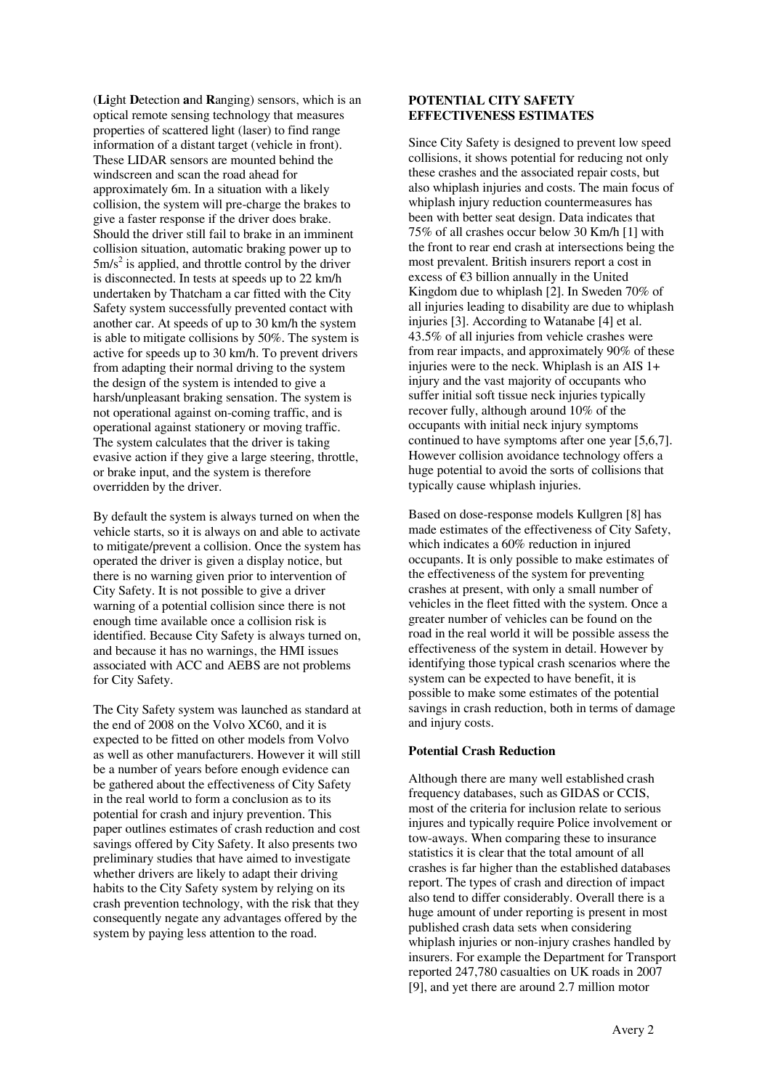(**Li**ght **D**etection **a**nd **R**anging) sensors, which is an optical remote sensing technology that measures properties of scattered light (laser) to find range information of a distant target (vehicle in front). These LIDAR sensors are mounted behind the windscreen and scan the road ahead for approximately 6m. In a situation with a likely collision, the system will pre-charge the brakes to give a faster response if the driver does brake. Should the driver still fail to brake in an imminent collision situation, automatic braking power up to  $5m/s<sup>2</sup>$  is applied, and throttle control by the driver is disconnected. In tests at speeds up to 22 km/h undertaken by Thatcham a car fitted with the City Safety system successfully prevented contact with another car. At speeds of up to 30 km/h the system is able to mitigate collisions by 50%. The system is active for speeds up to 30 km/h. To prevent drivers from adapting their normal driving to the system the design of the system is intended to give a harsh/unpleasant braking sensation. The system is not operational against on-coming traffic, and is operational against stationery or moving traffic. The system calculates that the driver is taking evasive action if they give a large steering, throttle, or brake input, and the system is therefore overridden by the driver.

By default the system is always turned on when the vehicle starts, so it is always on and able to activate to mitigate/prevent a collision. Once the system has operated the driver is given a display notice, but there is no warning given prior to intervention of City Safety. It is not possible to give a driver warning of a potential collision since there is not enough time available once a collision risk is identified. Because City Safety is always turned on, and because it has no warnings, the HMI issues associated with ACC and AEBS are not problems for City Safety.

The City Safety system was launched as standard at the end of 2008 on the Volvo XC60, and it is expected to be fitted on other models from Volvo as well as other manufacturers. However it will still be a number of years before enough evidence can be gathered about the effectiveness of City Safety in the real world to form a conclusion as to its potential for crash and injury prevention. This paper outlines estimates of crash reduction and cost savings offered by City Safety. It also presents two preliminary studies that have aimed to investigate whether drivers are likely to adapt their driving habits to the City Safety system by relying on its crash prevention technology, with the risk that they consequently negate any advantages offered by the system by paying less attention to the road.

## **POTENTIAL CITY SAFETY EFFECTIVENESS ESTIMATES**

Since City Safety is designed to prevent low speed collisions, it shows potential for reducing not only these crashes and the associated repair costs, but also whiplash injuries and costs. The main focus of whiplash injury reduction countermeasures has been with better seat design. Data indicates that 75% of all crashes occur below 30 Km/h [1] with the front to rear end crash at intersections being the most prevalent. British insurers report a cost in excess of €3 billion annually in the United Kingdom due to whiplash [2]. In Sweden 70% of all injuries leading to disability are due to whiplash injuries [3]. According to Watanabe [4] et al. 43.5% of all injuries from vehicle crashes were from rear impacts, and approximately 90% of these injuries were to the neck. Whiplash is an AIS 1+ injury and the vast majority of occupants who suffer initial soft tissue neck injuries typically recover fully, although around 10% of the occupants with initial neck injury symptoms continued to have symptoms after one year [5,6,7]. However collision avoidance technology offers a huge potential to avoid the sorts of collisions that typically cause whiplash injuries.

Based on dose-response models Kullgren [8] has made estimates of the effectiveness of City Safety, which indicates a 60% reduction in injured occupants. It is only possible to make estimates of the effectiveness of the system for preventing crashes at present, with only a small number of vehicles in the fleet fitted with the system. Once a greater number of vehicles can be found on the road in the real world it will be possible assess the effectiveness of the system in detail. However by identifying those typical crash scenarios where the system can be expected to have benefit, it is possible to make some estimates of the potential savings in crash reduction, both in terms of damage and injury costs.

## **Potential Crash Reduction**

Although there are many well established crash frequency databases, such as GIDAS or CCIS, most of the criteria for inclusion relate to serious injures and typically require Police involvement or tow-aways. When comparing these to insurance statistics it is clear that the total amount of all crashes is far higher than the established databases report. The types of crash and direction of impact also tend to differ considerably. Overall there is a huge amount of under reporting is present in most published crash data sets when considering whiplash injuries or non-injury crashes handled by insurers. For example the Department for Transport reported 247,780 casualties on UK roads in 2007 [9], and yet there are around 2.7 million motor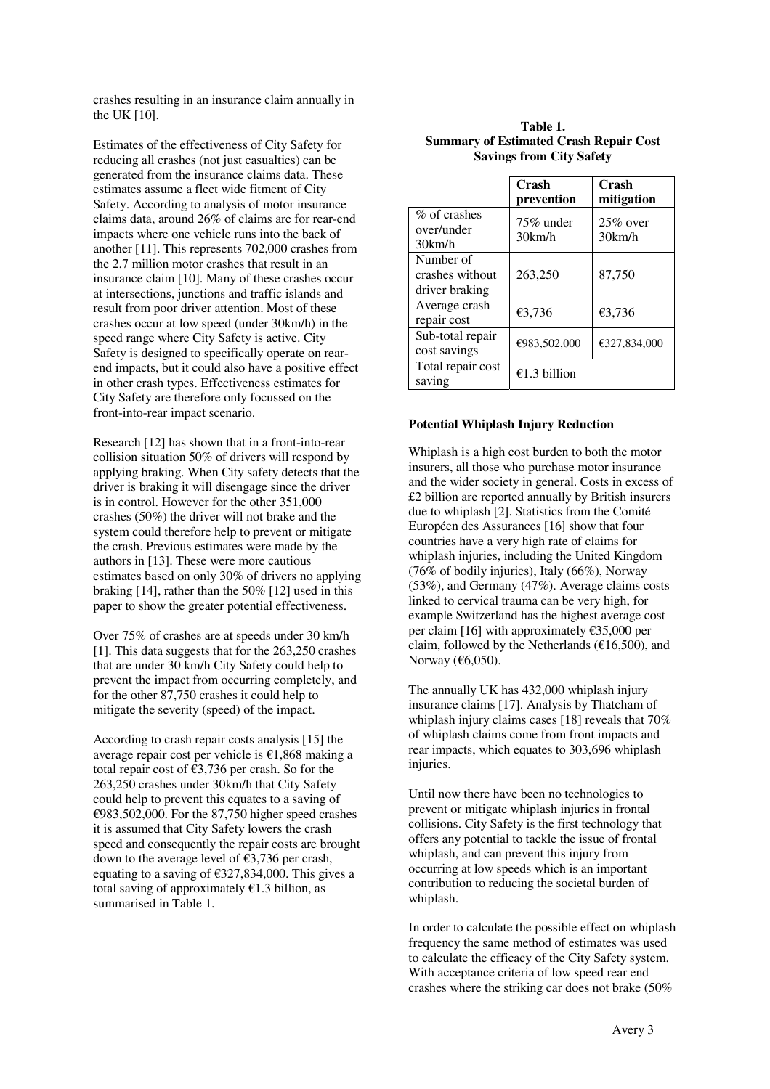crashes resulting in an insurance claim annually in the UK [10].

Estimates of the effectiveness of City Safety for reducing all crashes (not just casualties) can be generated from the insurance claims data. These estimates assume a fleet wide fitment of City Safety. According to analysis of motor insurance claims data, around 26% of claims are for rear-end impacts where one vehicle runs into the back of another [11]. This represents 702,000 crashes from the 2.7 million motor crashes that result in an insurance claim [10]. Many of these crashes occur at intersections, junctions and traffic islands and result from poor driver attention. Most of these crashes occur at low speed (under 30km/h) in the speed range where City Safety is active. City Safety is designed to specifically operate on rearend impacts, but it could also have a positive effect in other crash types. Effectiveness estimates for City Safety are therefore only focussed on the front-into-rear impact scenario.

Research [12] has shown that in a front-into-rear collision situation 50% of drivers will respond by applying braking. When City safety detects that the driver is braking it will disengage since the driver is in control. However for the other 351,000 crashes (50%) the driver will not brake and the system could therefore help to prevent or mitigate the crash. Previous estimates were made by the authors in [13]. These were more cautious estimates based on only 30% of drivers no applying braking [14], rather than the 50% [12] used in this paper to show the greater potential effectiveness.

Over 75% of crashes are at speeds under 30 km/h [1]. This data suggests that for the 263,250 crashes that are under 30 km/h City Safety could help to prevent the impact from occurring completely, and for the other 87,750 crashes it could help to mitigate the severity (speed) of the impact.

According to crash repair costs analysis [15] the average repair cost per vehicle is €1,868 making a total repair cost of  $\epsilon$ 3,736 per crash. So for the 263,250 crashes under 30km/h that City Safety could help to prevent this equates to a saving of €983,502,000. For the 87,750 higher speed crashes it is assumed that City Safety lowers the crash speed and consequently the repair costs are brought down to the average level of €3,736 per crash, equating to a saving of  $\epsilon$ 327,834,000. This gives a total saving of approximately  $E1.3$  billion, as summarised in Table 1.

#### **Table 1. Summary of Estimated Crash Repair Cost Savings from City Safety**

|                                                | Crash<br>prevention       | Crash<br>mitigation   |
|------------------------------------------------|---------------------------|-----------------------|
| $%$ of crashes<br>over/under<br>30km/h         | $75\%$ under<br>$30$ km/h | $25\%$ over<br>30km/h |
| Number of<br>crashes without<br>driver braking | 263,250                   | 87,750                |
| Average crash<br>repair cost                   | €3,736                    | €3,736                |
| Sub-total repair<br>cost savings               | €983,502,000              | €327,834,000          |
| Total repair cost<br>saving                    | €1.3 billion              |                       |

#### **Potential Whiplash Injury Reduction**

Whiplash is a high cost burden to both the motor insurers, all those who purchase motor insurance and the wider society in general. Costs in excess of £2 billion are reported annually by British insurers due to whiplash [2]. Statistics from the Comité Européen des Assurances [16] show that four countries have a very high rate of claims for whiplash injuries, including the United Kingdom (76% of bodily injuries), Italy (66%), Norway (53%), and Germany (47%). Average claims costs linked to cervical trauma can be very high, for example Switzerland has the highest average cost per claim [16] with approximately  $\epsilon$ 35,000 per claim, followed by the Netherlands ( $\epsilon$ 16,500), and Norway (€6,050).

The annually UK has 432,000 whiplash injury insurance claims [17]. Analysis by Thatcham of whiplash injury claims cases [18] reveals that 70% of whiplash claims come from front impacts and rear impacts, which equates to 303,696 whiplash injuries.

Until now there have been no technologies to prevent or mitigate whiplash injuries in frontal collisions. City Safety is the first technology that offers any potential to tackle the issue of frontal whiplash, and can prevent this injury from occurring at low speeds which is an important contribution to reducing the societal burden of whiplash.

In order to calculate the possible effect on whiplash frequency the same method of estimates was used to calculate the efficacy of the City Safety system. With acceptance criteria of low speed rear end crashes where the striking car does not brake (50%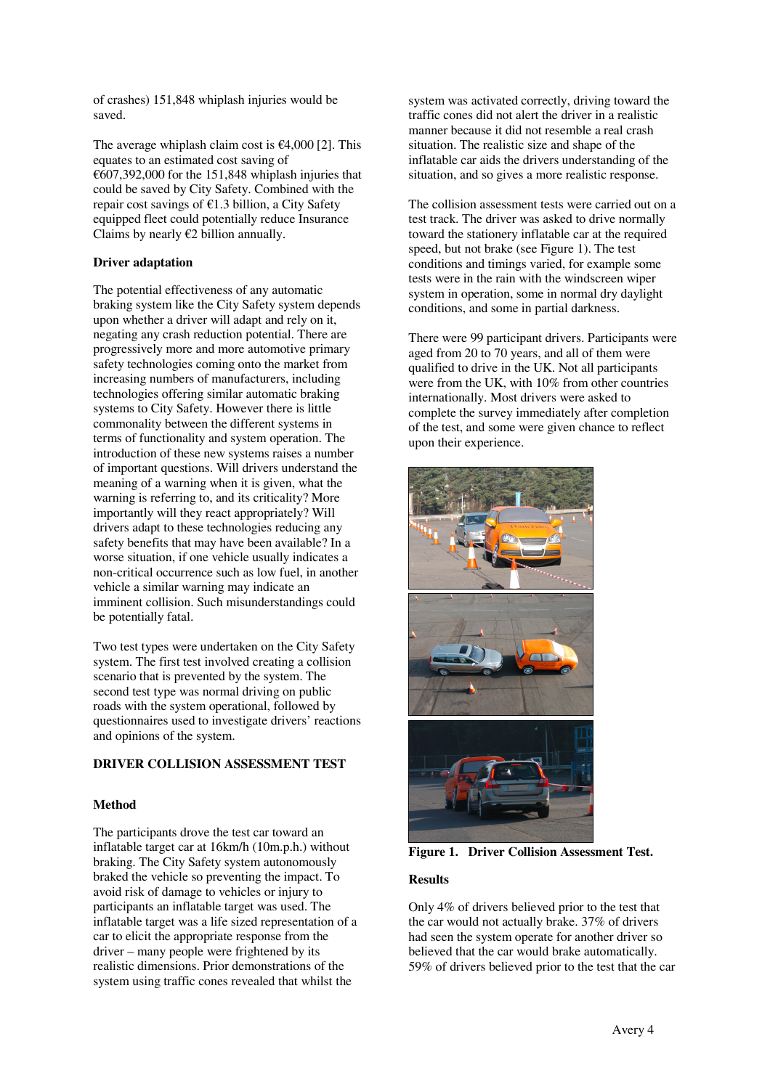of crashes) 151,848 whiplash injuries would be saved.

The average whiplash claim cost is  $\epsilon$ 4,000 [2]. This equates to an estimated cost saving of  $\epsilon$ 607,392,000 for the 151,848 whiplash injuries that could be saved by City Safety. Combined with the repair cost savings of  $E1.3$  billion, a City Safety equipped fleet could potentially reduce Insurance Claims by nearly  $E2$  billion annually.

## **Driver adaptation**

The potential effectiveness of any automatic braking system like the City Safety system depends upon whether a driver will adapt and rely on it, negating any crash reduction potential. There are progressively more and more automotive primary safety technologies coming onto the market from increasing numbers of manufacturers, including technologies offering similar automatic braking systems to City Safety. However there is little commonality between the different systems in terms of functionality and system operation. The introduction of these new systems raises a number of important questions. Will drivers understand the meaning of a warning when it is given, what the warning is referring to, and its criticality? More importantly will they react appropriately? Will drivers adapt to these technologies reducing any safety benefits that may have been available? In a worse situation, if one vehicle usually indicates a non-critical occurrence such as low fuel, in another vehicle a similar warning may indicate an imminent collision. Such misunderstandings could be potentially fatal.

Two test types were undertaken on the City Safety system. The first test involved creating a collision scenario that is prevented by the system. The second test type was normal driving on public roads with the system operational, followed by questionnaires used to investigate drivers' reactions and opinions of the system.

# **DRIVER COLLISION ASSESSMENT TEST**

## **Method**

The participants drove the test car toward an inflatable target car at 16km/h (10m.p.h.) without braking. The City Safety system autonomously braked the vehicle so preventing the impact. To avoid risk of damage to vehicles or injury to participants an inflatable target was used. The inflatable target was a life sized representation of a car to elicit the appropriate response from the driver – many people were frightened by its realistic dimensions. Prior demonstrations of the system using traffic cones revealed that whilst the

system was activated correctly, driving toward the traffic cones did not alert the driver in a realistic manner because it did not resemble a real crash situation. The realistic size and shape of the inflatable car aids the drivers understanding of the situation, and so gives a more realistic response.

The collision assessment tests were carried out on a test track. The driver was asked to drive normally toward the stationery inflatable car at the required speed, but not brake (see Figure 1). The test conditions and timings varied, for example some tests were in the rain with the windscreen wiper system in operation, some in normal dry daylight conditions, and some in partial darkness.

There were 99 participant drivers. Participants were aged from 20 to 70 years, and all of them were qualified to drive in the UK. Not all participants were from the UK, with 10% from other countries internationally. Most drivers were asked to complete the survey immediately after completion of the test, and some were given chance to reflect upon their experience.



**Figure 1. Driver Collision Assessment Test.** 

## **Results**

Only 4% of drivers believed prior to the test that the car would not actually brake. 37% of drivers had seen the system operate for another driver so believed that the car would brake automatically. 59% of drivers believed prior to the test that the car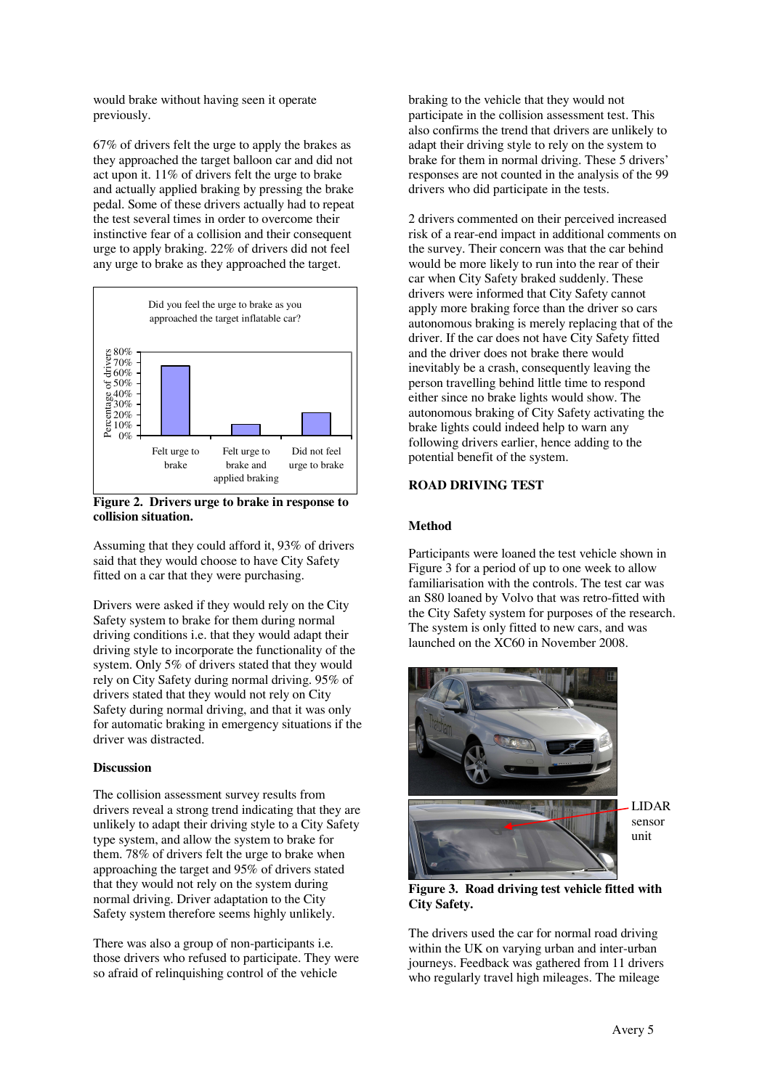would brake without having seen it operate previously.

67% of drivers felt the urge to apply the brakes as they approached the target balloon car and did not act upon it. 11% of drivers felt the urge to brake and actually applied braking by pressing the brake pedal. Some of these drivers actually had to repeat the test several times in order to overcome their instinctive fear of a collision and their consequent urge to apply braking. 22% of drivers did not feel any urge to brake as they approached the target.



**Figure 2. Drivers urge to brake in response to collision situation.** 

Assuming that they could afford it, 93% of drivers said that they would choose to have City Safety fitted on a car that they were purchasing.

Drivers were asked if they would rely on the City Safety system to brake for them during normal driving conditions i.e. that they would adapt their driving style to incorporate the functionality of the system. Only 5% of drivers stated that they would rely on City Safety during normal driving. 95% of drivers stated that they would not rely on City Safety during normal driving, and that it was only for automatic braking in emergency situations if the driver was distracted.

## **Discussion**

The collision assessment survey results from drivers reveal a strong trend indicating that they are unlikely to adapt their driving style to a City Safety type system, and allow the system to brake for them. 78% of drivers felt the urge to brake when approaching the target and 95% of drivers stated that they would not rely on the system during normal driving. Driver adaptation to the City Safety system therefore seems highly unlikely.

There was also a group of non-participants i.e. those drivers who refused to participate. They were so afraid of relinquishing control of the vehicle

braking to the vehicle that they would not participate in the collision assessment test. This also confirms the trend that drivers are unlikely to adapt their driving style to rely on the system to brake for them in normal driving. These 5 drivers' responses are not counted in the analysis of the 99 drivers who did participate in the tests.

2 drivers commented on their perceived increased risk of a rear-end impact in additional comments on the survey. Their concern was that the car behind would be more likely to run into the rear of their car when City Safety braked suddenly. These drivers were informed that City Safety cannot apply more braking force than the driver so cars autonomous braking is merely replacing that of the driver. If the car does not have City Safety fitted and the driver does not brake there would inevitably be a crash, consequently leaving the person travelling behind little time to respond either since no brake lights would show. The autonomous braking of City Safety activating the brake lights could indeed help to warn any following drivers earlier, hence adding to the potential benefit of the system.

#### **ROAD DRIVING TEST**

#### **Method**

Participants were loaned the test vehicle shown in Figure 3 for a period of up to one week to allow familiarisation with the controls. The test car was an S80 loaned by Volvo that was retro-fitted with the City Safety system for purposes of the research. The system is only fitted to new cars, and was launched on the XC60 in November 2008.



LIDAR sensor unit

**Figure 3. Road driving test vehicle fitted with City Safety.** 

The drivers used the car for normal road driving within the UK on varying urban and inter-urban journeys. Feedback was gathered from 11 drivers who regularly travel high mileages. The mileage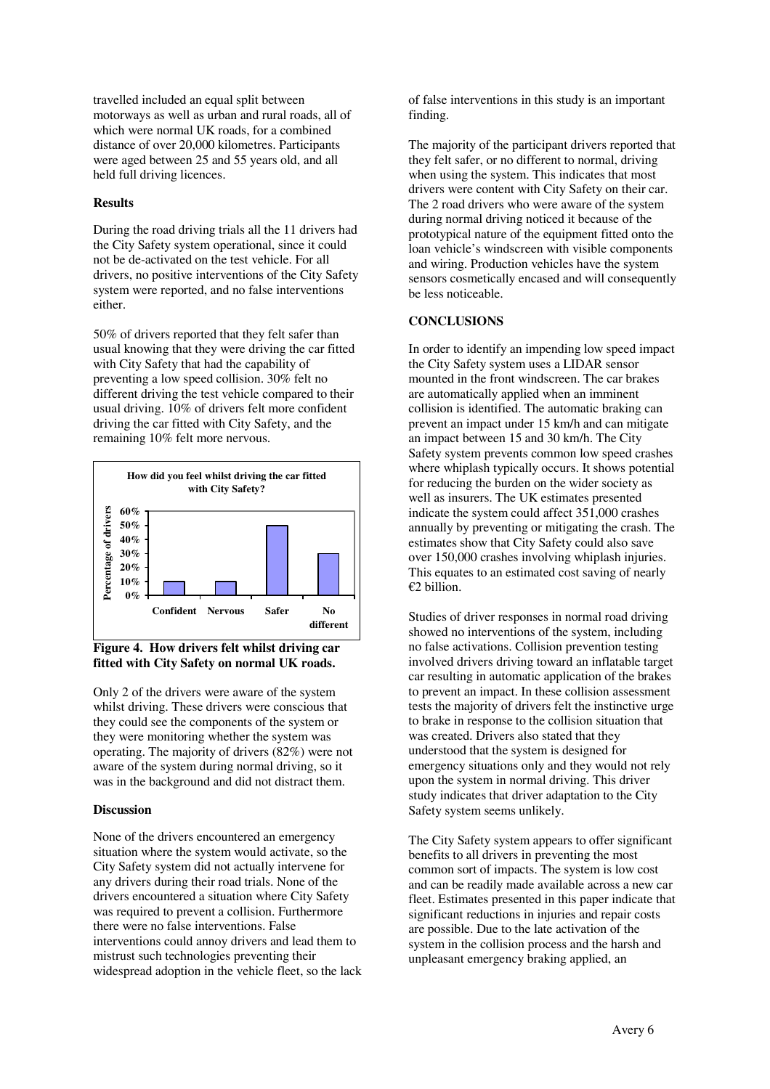travelled included an equal split between motorways as well as urban and rural roads, all of which were normal UK roads, for a combined distance of over 20,000 kilometres. Participants were aged between 25 and 55 years old, and all held full driving licences.

## **Results**

During the road driving trials all the 11 drivers had the City Safety system operational, since it could not be de-activated on the test vehicle. For all drivers, no positive interventions of the City Safety system were reported, and no false interventions either.

50% of drivers reported that they felt safer than usual knowing that they were driving the car fitted with City Safety that had the capability of preventing a low speed collision. 30% felt no different driving the test vehicle compared to their usual driving. 10% of drivers felt more confident driving the car fitted with City Safety, and the remaining 10% felt more nervous.



**Figure 4. How drivers felt whilst driving car fitted with City Safety on normal UK roads.** 

Only 2 of the drivers were aware of the system whilst driving. These drivers were conscious that they could see the components of the system or they were monitoring whether the system was operating. The majority of drivers (82%) were not aware of the system during normal driving, so it was in the background and did not distract them.

## **Discussion**

None of the drivers encountered an emergency situation where the system would activate, so the City Safety system did not actually intervene for any drivers during their road trials. None of the drivers encountered a situation where City Safety was required to prevent a collision. Furthermore there were no false interventions. False interventions could annoy drivers and lead them to mistrust such technologies preventing their widespread adoption in the vehicle fleet, so the lack of false interventions in this study is an important finding.

The majority of the participant drivers reported that they felt safer, or no different to normal, driving when using the system. This indicates that most drivers were content with City Safety on their car. The 2 road drivers who were aware of the system during normal driving noticed it because of the prototypical nature of the equipment fitted onto the loan vehicle's windscreen with visible components and wiring. Production vehicles have the system sensors cosmetically encased and will consequently be less noticeable.

#### **CONCLUSIONS**

In order to identify an impending low speed impact the City Safety system uses a LIDAR sensor mounted in the front windscreen. The car brakes are automatically applied when an imminent collision is identified. The automatic braking can prevent an impact under 15 km/h and can mitigate an impact between 15 and 30 km/h. The City Safety system prevents common low speed crashes where whiplash typically occurs. It shows potential for reducing the burden on the wider society as well as insurers. The UK estimates presented indicate the system could affect 351,000 crashes annually by preventing or mitigating the crash. The estimates show that City Safety could also save over 150,000 crashes involving whiplash injuries. This equates to an estimated cost saving of nearly €2 billion.

Studies of driver responses in normal road driving showed no interventions of the system, including no false activations. Collision prevention testing involved drivers driving toward an inflatable target car resulting in automatic application of the brakes to prevent an impact. In these collision assessment tests the majority of drivers felt the instinctive urge to brake in response to the collision situation that was created. Drivers also stated that they understood that the system is designed for emergency situations only and they would not rely upon the system in normal driving. This driver study indicates that driver adaptation to the City Safety system seems unlikely.

The City Safety system appears to offer significant benefits to all drivers in preventing the most common sort of impacts. The system is low cost and can be readily made available across a new car fleet. Estimates presented in this paper indicate that significant reductions in injuries and repair costs are possible. Due to the late activation of the system in the collision process and the harsh and unpleasant emergency braking applied, an